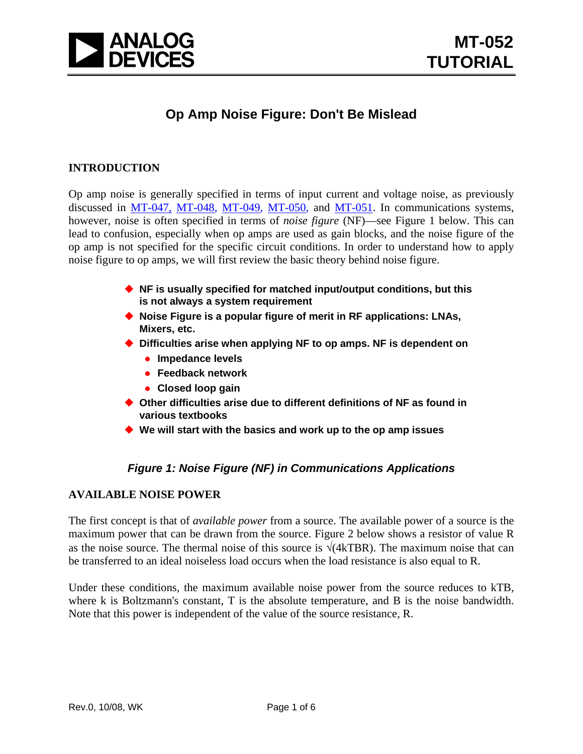

# **Op Amp Noise Figure: Don't Be Mislead**

# **INTRODUCTION**

Op amp noise is generally specified in terms of input current and voltage noise, as previously discussed in [MT-047,](http://www.analog.com/static/imported-files/tutorials/MT-047.pdf) [MT-048](http://www.analog.com/static/imported-files/tutorials/MT-048.pdf), [MT-049](http://www.analog.com/static/imported-files/tutorials/MT-049.pdf), [MT-050](http://www.analog.com/static/imported-files/tutorials/MT-050.pdf), and [MT-051.](http://www.analog.com/static/imported-files/tutorials/MT-051.pdf) In communications systems, however, noise is often specified in terms of *noise figure* (NF)—see Figure 1 below. This can lead to confusion, especially when op amps are used as gain blocks, and the noise figure of the op amp is not specified for the specific circuit conditions. In order to understand how to apply noise figure to op amps, we will first review the basic theory behind noise figure.

- ◆ NF is usually specified for matched input/output conditions, but this **is not always a system requirement**
- ◆ Noise Figure is a popular figure of merit in RF applications: LNAs, **Mixers, etc.**
- **Difficulties arise when applying NF to op amps. NF is dependent on**
	- **•** Impedance levels
	- **Feedback network**
	- **Closed loop gain**
- ◆ Other difficulties arise due to different definitions of NF as found in **various textbooks**
- **We will start with the basics and work up to the op amp issues**

# *Figure 1: Noise Figure (NF) in Communications Applications*

# **AVAILABLE NOISE POWER**

The first concept is that of *available power* from a source. The available power of a source is the maximum power that can be drawn from the source. Figure 2 below shows a resistor of value R as the noise source. The thermal noise of this source is  $\sqrt{(4kTBR)}$ . The maximum noise that can be transferred to an ideal noiseless load occurs when the load resistance is also equal to R.

Under these conditions, the maximum available noise power from the source reduces to kTB, where k is Boltzmann's constant, T is the absolute temperature, and B is the noise bandwidth. Note that this power is independent of the value of the source resistance, R.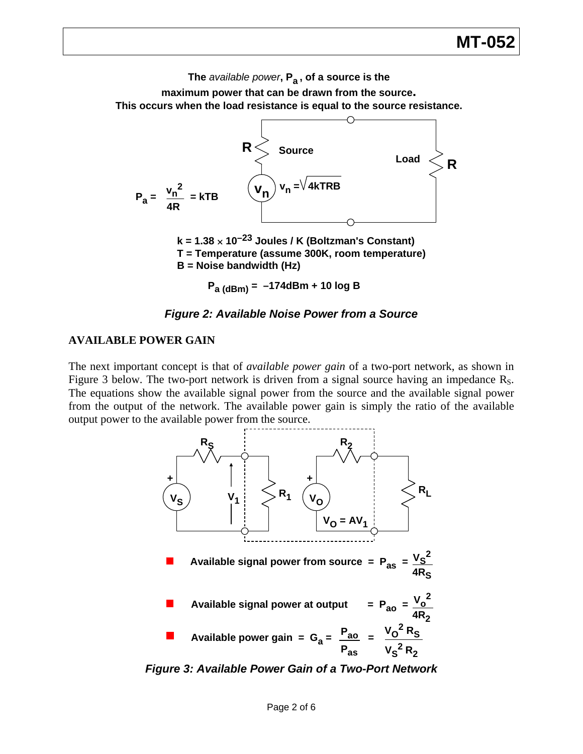# **MT-052**

**The** *available power***, Pa , of a source is the**

**maximum power that can be drawn from the source. This occurs when the load resistance is equal to the source resistance.**



#### *Figure 2: Available Noise Power from a Source*

#### **AVAILABLE POWER GAIN**

The next important concept is that of *available power gain* of a two-port network, as shown in Figure 3 below. The two-port network is driven from a signal source having an impedance R<sub>S</sub>. The equations show the available signal power from the source and the available signal power from the output of the network. The available power gain is simply the ratio of the available output power to the available power from the source.



*Figure 3: Available Power Gain of a Two-Port Network*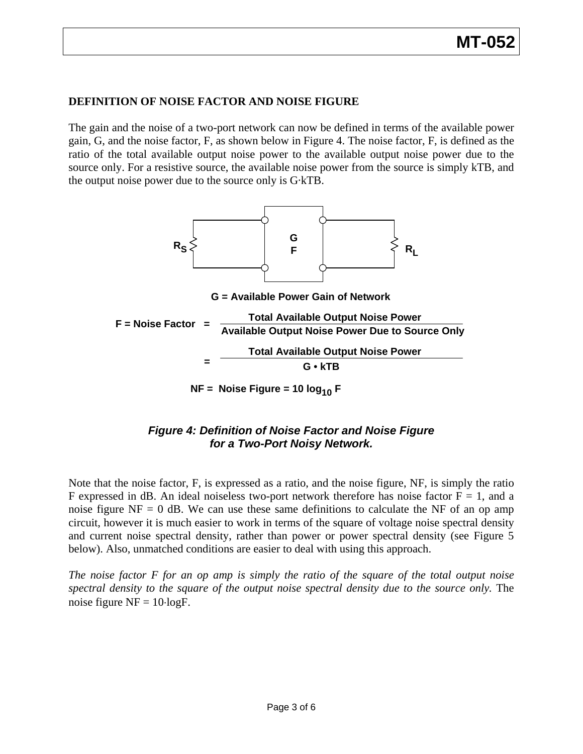# **DEFINITION OF NOISE FACTOR AND NOISE FIGURE**

The gain and the noise of a two-port network can now be defined in terms of the available power gain, G, and the noise factor, F, as shown below in Figure 4. The noise factor, F, is defined as the ratio of the total available output noise power to the available output noise power due to the source only. For a resistive source, the available noise power from the source is simply kTB, and the output noise power due to the source only is G·kTB.



# *Figure 4: Definition of Noise Factor and Noise Figure for a Two-Port Noisy Network.*

Note that the noise factor, F, is expressed as a ratio, and the noise figure, NF, is simply the ratio F expressed in dB. An ideal noiseless two-port network therefore has noise factor  $F = 1$ , and a noise figure  $NF = 0$  dB. We can use these same definitions to calculate the NF of an op amp circuit, however it is much easier to work in terms of the square of voltage noise spectral density and current noise spectral density, rather than power or power spectral density (see Figure 5 below). Also, unmatched conditions are easier to deal with using this approach.

*The noise factor F for an op amp is simply the ratio of the square of the total output noise spectral density to the square of the output noise spectral density due to the source only.* The noise figure  $NF = 10 \cdot logF$ .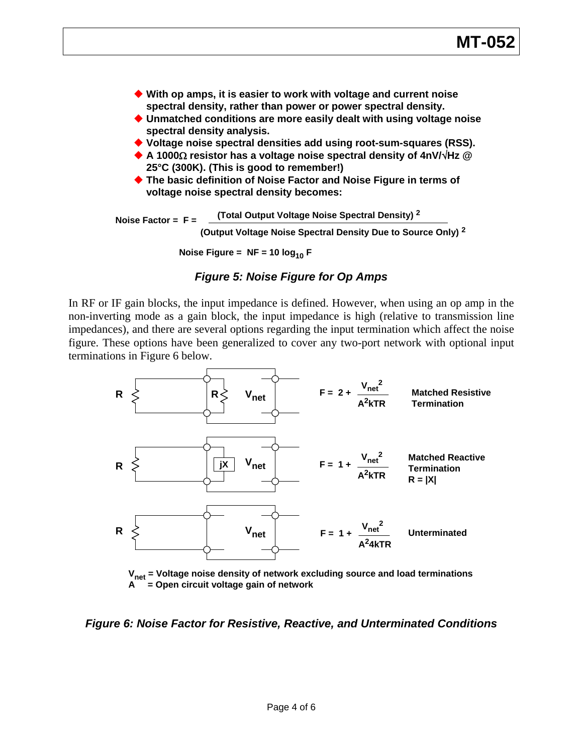

**Noise Factor = F = (Total Output Voltage Noise Spectral Density) <sup>2</sup> (Output Voltage Noise Spectral Density Due to Source Only) <sup>2</sup>**

**Noise Figure =**  $NF = 10 log_{10} F$ 

#### *Figure 5: Noise Figure for Op Amps*

In RF or IF gain blocks, the input impedance is defined. However, when using an op amp in the non-inverting mode as a gain block, the input impedance is high (relative to transmission line impedances), and there are several options regarding the input termination which affect the noise figure. These options have been generalized to cover any two-port network with optional input terminations in Figure 6 below.



**Vnet = Voltage noise density of network excluding source and load terminations A = Open circuit voltage gain of network**

*Figure 6: Noise Factor for Resistive, Reactive, and Unterminated Conditions*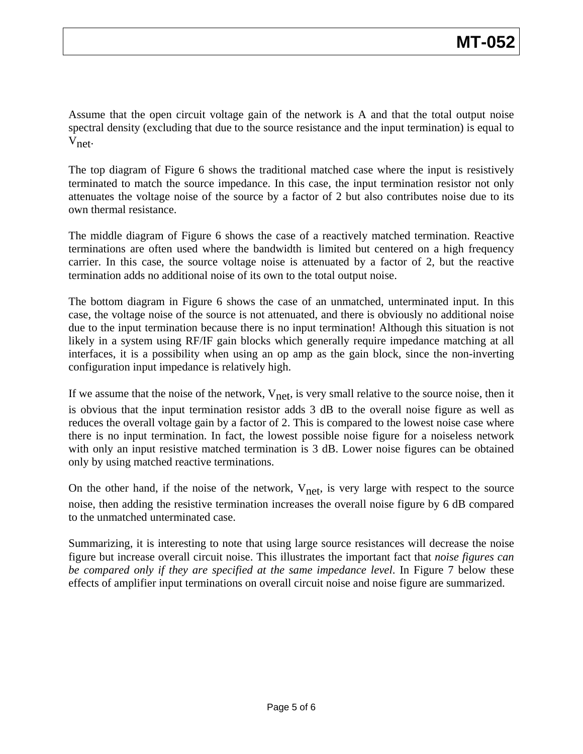Assume that the open circuit voltage gain of the network is A and that the total output noise spectral density (excluding that due to the source resistance and the input termination) is equal to Vnet.

The top diagram of Figure 6 shows the traditional matched case where the input is resistively terminated to match the source impedance. In this case, the input termination resistor not only attenuates the voltage noise of the source by a factor of 2 but also contributes noise due to its own thermal resistance.

The middle diagram of Figure 6 shows the case of a reactively matched termination. Reactive terminations are often used where the bandwidth is limited but centered on a high frequency carrier. In this case, the source voltage noise is attenuated by a factor of 2, but the reactive termination adds no additional noise of its own to the total output noise.

The bottom diagram in Figure 6 shows the case of an unmatched, unterminated input. In this case, the voltage noise of the source is not attenuated, and there is obviously no additional noise due to the input termination because there is no input termination! Although this situation is not likely in a system using RF/IF gain blocks which generally require impedance matching at all interfaces, it is a possibility when using an op amp as the gain block, since the non-inverting configuration input impedance is relatively high.

If we assume that the noise of the network,  $V_{\text{net}}$ , is very small relative to the source noise, then it is obvious that the input termination resistor adds 3 dB to the overall noise figure as well as reduces the overall voltage gain by a factor of 2. This is compared to the lowest noise case where there is no input termination. In fact, the lowest possible noise figure for a noiseless network with only an input resistive matched termination is 3 dB. Lower noise figures can be obtained only by using matched reactive terminations.

On the other hand, if the noise of the network,  $V_{net}$ , is very large with respect to the source noise, then adding the resistive termination increases the overall noise figure by 6 dB compared to the unmatched unterminated case.

Summarizing, it is interesting to note that using large source resistances will decrease the noise figure but increase overall circuit noise. This illustrates the important fact that *noise figures can be compared only if they are specified at the same impedance level*. In Figure 7 below these effects of amplifier input terminations on overall circuit noise and noise figure are summarized.